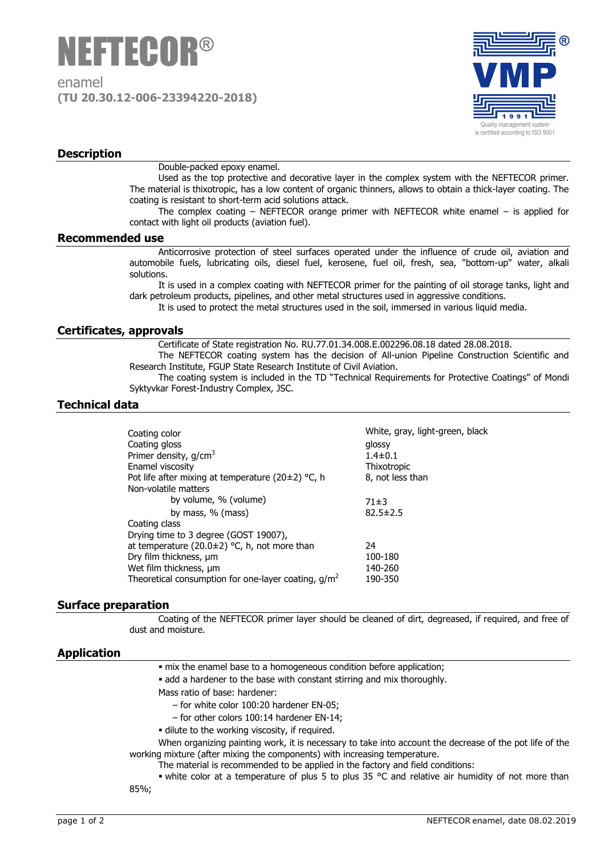

enamel **(TU 20.30.12-006-23394220-2018)**



# **Description**

Double-packed epoxy enamel.

Used as the top protective and decorative layer in the complex system with the NEFTECOR primer. The material is thixotropic, has a low content of organic thinners, allows to obtain a thick-layer coating. The coating is resistant to short-term acid solutions attack.

The complex coating – NEFTECOR orange primer with NEFTECOR white enamel – is applied for contact with light oil products (aviation fuel).

#### **Recommended use**

Anticorrosive protection of steel surfaces operated under the influence of crude oil, aviation and automobile fuels, lubricating oils, diesel fuel, kerosene, fuel oil, fresh, sea, "bottom-up" water, alkali solutions.

It is used in a complex coating with NEFTECOR primer for the painting of oil storage tanks, light and dark petroleum products, pipelines, and other metal structures used in aggressive conditions.

It is used to protect the metal structures used in the soil, immersed in various liquid media.

## **Certificates, approvals**

Certificate of State registration No. RU.77.01.34.008.Е.002296.08.18 dated 28.08.2018.

The NEFTECOR coating system has the decision of All-union Pipeline Construction Scientific and Research Institute, FGUP State Research Institute of Civil Aviation.

The coating system is included in the TD "Technical Requirements for Protective Coatings" of Mondi Syktyvkar Forest-Industry Complex, JSC.

## **Technical data**

| Coating color<br>Coating gloss                          | White, gray, light-green, black<br>glossy |
|---------------------------------------------------------|-------------------------------------------|
| Primer density, g/cm <sup>3</sup>                       | $1.4 \pm 0.1$                             |
| Enamel viscosity                                        | Thixotropic                               |
| Pot life after mixing at temperature (20 $\pm$ 2) °C, h | 8, not less than                          |
| Non-volatile matters                                    |                                           |
| by volume, % (volume)                                   | 71±3                                      |
| by mass, % (mass)                                       | $82.5 \pm 2.5$                            |
| Coating class                                           |                                           |
| Drying time to 3 degree (GOST 19007),                   |                                           |
| at temperature (20.0 $\pm$ 2) °C, h, not more than      | 24                                        |
| Dry film thickness, um                                  | 100-180                                   |
| Wet film thickness, µm                                  | 140-260                                   |
| Theoretical consumption for one-layer coating, $g/m^2$  | 190-350                                   |
|                                                         |                                           |

### **Surface preparation**

Coating of the NEFTECOR primer layer should be cleaned of dirt, degreased, if required, and free of dust and moisture.

### **Application**

| . mix the enamel base to a homogeneous condition before application; |  |  |
|----------------------------------------------------------------------|--|--|
|----------------------------------------------------------------------|--|--|

• add a hardener to the base with constant stirring and mix thoroughly.

- Mass ratio of base: hardener:
	- ‒ for white color 100:20 hardener EN-05;
	- ‒ for other colors 100:14 hardener EN-14;
- dilute to the working viscosity, if required.

When organizing painting work, it is necessary to take into account the decrease of the pot life of the working mixture (after mixing the components) with increasing temperature.

The material is recommended to be applied in the factory and field conditions:

white color at a temperature of plus 5 to plus 35 °C and relative air humidity of not more than

85%;